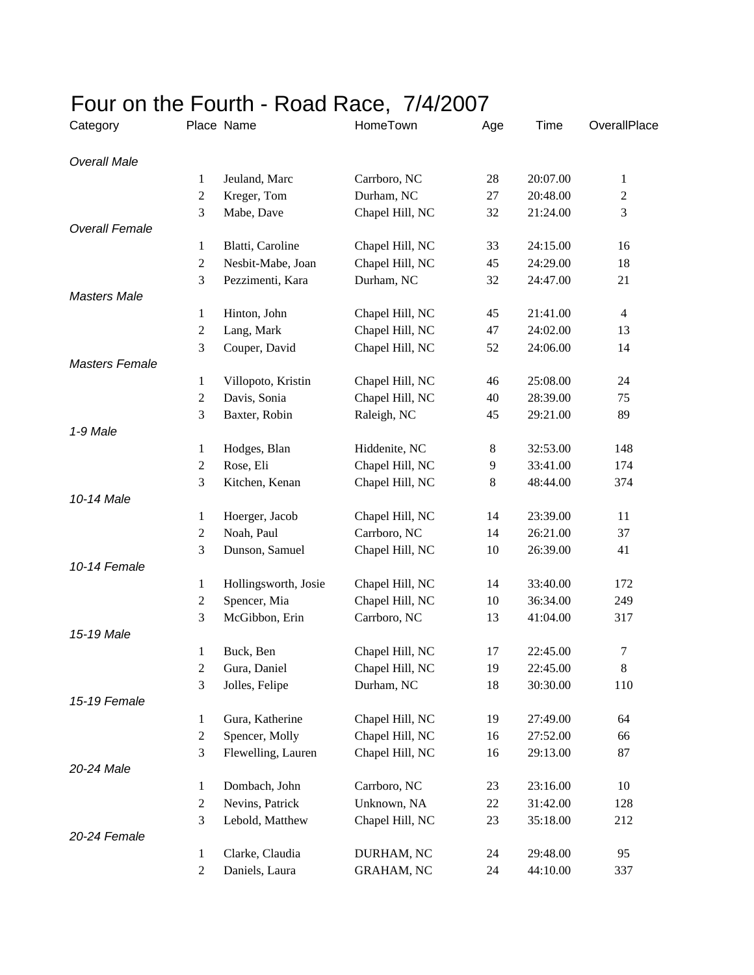## Four on the Fourth - Road Race, 7/4/2007

| Category              |                  | Place Name           | HomeTown        | Age   | Time     | OverallPlace   |
|-----------------------|------------------|----------------------|-----------------|-------|----------|----------------|
| <b>Overall Male</b>   |                  |                      |                 |       |          |                |
|                       | 1                | Jeuland, Marc        | Carrboro, NC    | 28    | 20:07.00 | $\mathbf{1}$   |
|                       | $\mathbf{2}$     | Kreger, Tom          | Durham, NC      | 27    | 20:48.00 | $\overline{c}$ |
|                       | 3                | Mabe, Dave           | Chapel Hill, NC | 32    | 21:24.00 | 3              |
| <b>Overall Female</b> |                  |                      |                 |       |          |                |
|                       | 1                | Blatti, Caroline     | Chapel Hill, NC | 33    | 24:15.00 | 16             |
|                       | $\mathbf{2}$     | Nesbit-Mabe, Joan    | Chapel Hill, NC | 45    | 24:29.00 | 18             |
|                       | 3                | Pezzimenti, Kara     | Durham, NC      | 32    | 24:47.00 | 21             |
| <b>Masters Male</b>   |                  |                      |                 |       |          |                |
|                       | $\mathbf{1}$     | Hinton, John         | Chapel Hill, NC | 45    | 21:41.00 | $\overline{4}$ |
|                       | $\overline{c}$   | Lang, Mark           | Chapel Hill, NC | 47    | 24:02.00 | 13             |
|                       | 3                | Couper, David        | Chapel Hill, NC | 52    | 24:06.00 | 14             |
| <b>Masters Female</b> |                  |                      |                 |       |          |                |
|                       | $\mathbf{1}$     | Villopoto, Kristin   | Chapel Hill, NC | 46    | 25:08.00 | 24             |
|                       | $\boldsymbol{2}$ | Davis, Sonia         | Chapel Hill, NC | 40    | 28:39.00 | 75             |
|                       | 3                | Baxter, Robin        | Raleigh, NC     | 45    | 29:21.00 | 89             |
| 1-9 Male              |                  |                      |                 |       |          |                |
|                       | $\mathbf{1}$     | Hodges, Blan         | Hiddenite, NC   | 8     | 32:53.00 | 148            |
|                       | $\overline{c}$   | Rose, Eli            | Chapel Hill, NC | 9     | 33:41.00 | 174            |
|                       | 3                | Kitchen, Kenan       | Chapel Hill, NC | $\,8$ | 48:44.00 | 374            |
| 10-14 Male            |                  |                      |                 |       |          |                |
|                       | $\mathbf{1}$     | Hoerger, Jacob       | Chapel Hill, NC | 14    | 23:39.00 | 11             |
|                       | $\boldsymbol{2}$ | Noah, Paul           | Carrboro, NC    | 14    | 26:21.00 | 37             |
|                       | 3                | Dunson, Samuel       | Chapel Hill, NC | 10    | 26:39.00 | 41             |
| 10-14 Female          |                  |                      |                 |       |          |                |
|                       | $\mathbf{1}$     | Hollingsworth, Josie | Chapel Hill, NC | 14    | 33:40.00 | 172            |
|                       | $\boldsymbol{2}$ | Spencer, Mia         | Chapel Hill, NC | 10    | 36:34.00 | 249            |
|                       | 3                | McGibbon, Erin       | Carrboro, NC    | 13    | 41:04.00 | 317            |
| 15-19 Male            |                  |                      |                 |       |          |                |
|                       | 1                | Buck, Ben            | Chapel Hill, NC | 17    | 22:45.00 | 7              |
|                       | $\mathfrak{D}$   | Gura, Daniel         | Chapel Hill, NC | 19    | 22:45.00 | 8              |
|                       | 3                | Jolles, Felipe       | Durham, NC      | 18    | 30:30.00 | 110            |
| 15-19 Female          |                  |                      |                 |       |          |                |
|                       | 1                | Gura, Katherine      | Chapel Hill, NC | 19    | 27:49.00 | 64             |
|                       | $\mathbf{2}$     | Spencer, Molly       | Chapel Hill, NC | 16    | 27:52.00 | 66             |
|                       | 3                | Flewelling, Lauren   | Chapel Hill, NC | 16    | 29:13.00 | 87             |
| 20-24 Male            |                  |                      |                 |       |          |                |
|                       | $\mathbf{1}$     | Dombach, John        | Carrboro, NC    | 23    | 23:16.00 | 10             |
|                       | 2                | Nevins, Patrick      | Unknown, NA     | 22    | 31:42.00 | 128            |
|                       | 3                | Lebold, Matthew      | Chapel Hill, NC | 23    | 35:18.00 | 212            |
| 20-24 Female          |                  |                      |                 |       |          |                |
|                       | 1                | Clarke, Claudia      | DURHAM, NC      | 24    | 29:48.00 | 95             |
|                       | $\overline{2}$   | Daniels, Laura       | GRAHAM, NC      | 24    | 44:10.00 | 337            |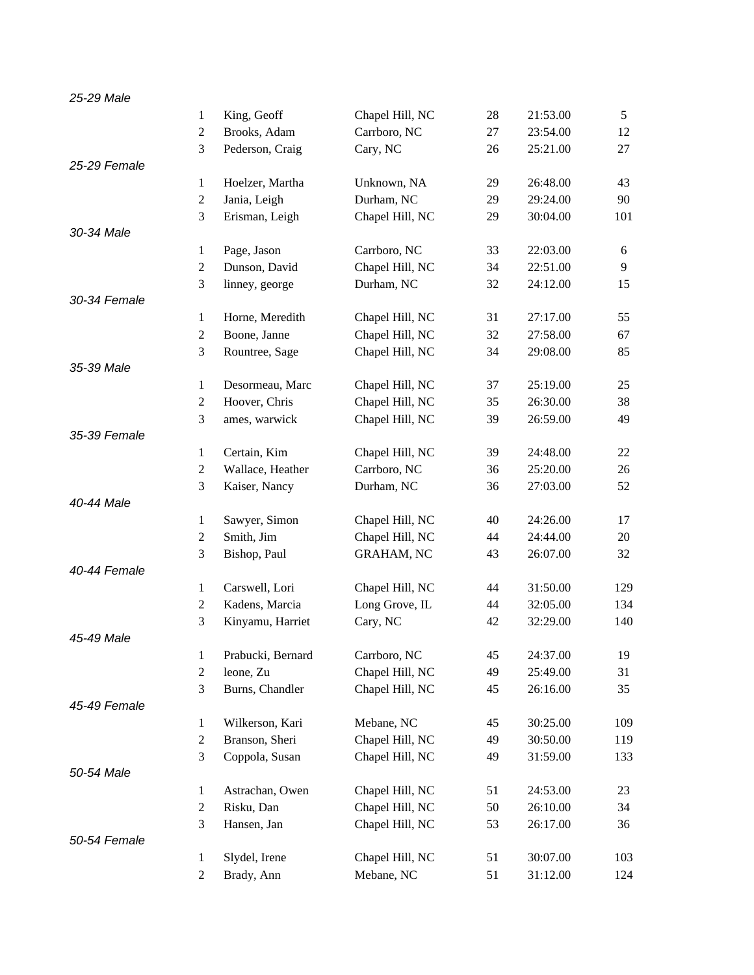| $\mathbf{1}$<br>King, Geoff        | Chapel Hill, NC   | 28 | 21:53.00 |     |
|------------------------------------|-------------------|----|----------|-----|
|                                    |                   |    |          | 5   |
| $\overline{2}$<br>Brooks, Adam     | Carrboro, NC      | 27 | 23:54.00 | 12  |
| 3<br>Pederson, Craig               | Cary, NC          | 26 | 25:21.00 | 27  |
| 25-29 Female                       |                   |    |          |     |
| Hoelzer, Martha<br>$\mathbf{1}$    | Unknown, NA       | 29 | 26:48.00 | 43  |
| $\sqrt{2}$<br>Jania, Leigh         | Durham, NC        | 29 | 29:24.00 | 90  |
| 3<br>Erisman, Leigh                | Chapel Hill, NC   | 29 | 30:04.00 | 101 |
| 30-34 Male                         |                   |    |          |     |
| Page, Jason<br>$\mathbf{1}$        | Carrboro, NC      | 33 | 22:03.00 | 6   |
| Dunson, David<br>$\overline{c}$    | Chapel Hill, NC   | 34 | 22:51.00 | 9   |
| 3<br>linney, george                | Durham, NC        | 32 | 24:12.00 | 15  |
| 30-34 Female                       |                   |    |          |     |
| $\mathbf{1}$<br>Horne, Meredith    | Chapel Hill, NC   | 31 | 27:17.00 | 55  |
| Boone, Janne<br>$\boldsymbol{2}$   | Chapel Hill, NC   | 32 | 27:58.00 | 67  |
| 3<br>Rountree, Sage                | Chapel Hill, NC   | 34 | 29:08.00 | 85  |
| 35-39 Male                         |                   |    |          |     |
| $\mathbf{1}$<br>Desormeau, Marc    | Chapel Hill, NC   | 37 | 25:19.00 | 25  |
| $\overline{2}$<br>Hoover, Chris    | Chapel Hill, NC   | 35 | 26:30.00 | 38  |
| 3<br>ames, warwick                 | Chapel Hill, NC   | 39 | 26:59.00 | 49  |
| 35-39 Female                       |                   |    |          |     |
| Certain, Kim<br>$\mathbf{1}$       | Chapel Hill, NC   | 39 | 24:48.00 | 22  |
| $\overline{2}$<br>Wallace, Heather | Carrboro, NC      | 36 | 25:20.00 | 26  |
| 3<br>Kaiser, Nancy                 | Durham, NC        | 36 | 27:03.00 | 52  |
| 40-44 Male                         |                   |    |          |     |
| Sawyer, Simon<br>$\mathbf{1}$      | Chapel Hill, NC   | 40 | 24:26.00 | 17  |
| Smith, Jim<br>$\boldsymbol{2}$     | Chapel Hill, NC   | 44 | 24:44.00 | 20  |
| 3<br>Bishop, Paul                  | <b>GRAHAM, NC</b> | 43 | 26:07.00 | 32  |
| 40-44 Female                       |                   |    |          |     |
| Carswell, Lori<br>$\mathbf{1}$     | Chapel Hill, NC   | 44 | 31:50.00 | 129 |
| Kadens, Marcia<br>$\overline{2}$   | Long Grove, IL    | 44 | 32:05.00 | 134 |
| 3<br>Kinyamu, Harriet              | Cary, NC          | 42 | 32:29.00 | 140 |
| 45-49 Male                         |                   |    |          |     |
| $\mathbf{1}$<br>Prabucki, Bernard  | Carrboro, NC      | 45 | 24:37.00 | 19  |
| $\boldsymbol{2}$<br>leone, Zu      | Chapel Hill, NC   | 49 | 25:49.00 | 31  |
| 3<br>Burns, Chandler               | Chapel Hill, NC   | 45 | 26:16.00 | 35  |
| 45-49 Female                       |                   |    |          |     |
| Wilkerson, Kari<br>$\mathbf{1}$    | Mebane, NC        | 45 | 30:25.00 | 109 |
| Branson, Sheri<br>$\mathfrak{2}$   | Chapel Hill, NC   | 49 | 30:50.00 | 119 |
| 3<br>Coppola, Susan                | Chapel Hill, NC   | 49 | 31:59.00 | 133 |
| 50-54 Male                         |                   |    |          |     |
| Astrachan, Owen<br>1               | Chapel Hill, NC   | 51 | 24:53.00 | 23  |
| $\mathfrak{2}$<br>Risku, Dan       | Chapel Hill, NC   | 50 | 26:10.00 | 34  |
| 3<br>Hansen, Jan                   | Chapel Hill, NC   | 53 | 26:17.00 | 36  |
| 50-54 Female                       |                   |    |          |     |
| Slydel, Irene<br>1                 | Chapel Hill, NC   | 51 | 30:07.00 | 103 |
| $\overline{c}$<br>Brady, Ann       | Mebane, NC        | 51 | 31:12.00 | 124 |